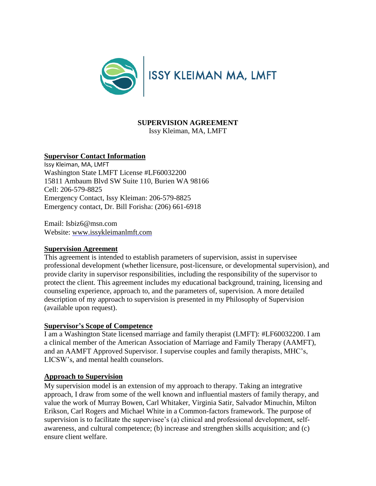

# **SUPERVISION AGREEMENT**

Issy Kleiman, MA, LMFT

## **Supervisor Contact Information**

Issy Kleiman, MA, LMFT Washington State LMFT License #LF60032200 15811 Ambaum Blvd SW Suite 110, Burien WA 98166 Cell: 206-579-8825 Emergency Contact, Issy Kleiman: 206-579-8825 Emergency contact, Dr. Bill Forisha: (206) 661-6918

Email: Isbiz6@msn.com Website: [www.i](http://www.envisioncounseling.net/)ssykleimanlmft.com

#### **Supervision Agreement**

This agreement is intended to establish parameters of supervision, assist in supervisee professional development (whether licensure, post-licensure, or developmental supervision), and provide clarity in supervisor responsibilities, including the responsibility of the supervisor to protect the client. This agreement includes my educational background, training, licensing and counseling experience, approach to, and the parameters of, supervision. A more detailed description of my approach to supervision is presented in my Philosophy of Supervision (available upon request).

## **Supervisor's Scope of Competence**

I am a Washington State licensed marriage and family therapist (LMFT): #LF60032200. I am a clinical member of the American Association of Marriage and Family Therapy (AAMFT), and an AAMFT Approved Supervisor. I supervise couples and family therapists, MHC's, LICSW's, and mental health counselors.

#### **Approach to Supervision**

My supervision model is an extension of my approach to therapy. Taking an integrative approach, I draw from some of the well known and influential masters of family therapy, and value the work of Murray Bowen, Carl Whitaker, Virginia Satir, Salvador Minuchin, Milton Erikson, Carl Rogers and Michael White in a Common-factors framework. The purpose of supervision is to facilitate the supervisee's (a) clinical and professional development, selfawareness, and cultural competence; (b) increase and strengthen skills acquisition; and (c) ensure client welfare.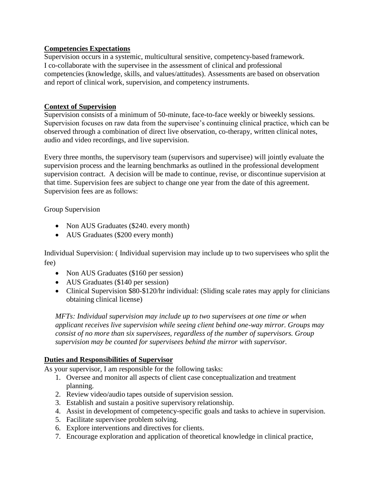## **Competencies Expectations**

Supervision occurs in a systemic, multicultural sensitive, competency-based framework. I co-collaborate with the supervisee in the assessment of clinical and professional competencies (knowledge, skills, and values/attitudes). Assessments are based on observation and report of clinical work, supervision, and competency instruments.

# **Context of Supervision**

Supervision consists of a minimum of 50-minute, face-to-face weekly or biweekly sessions. Supervision focuses on raw data from the supervisee's continuing clinical practice, which can be observed through a combination of direct live observation, co-therapy, written clinical notes, audio and video recordings, and live supervision.

Every three months, the supervisory team (supervisors and supervisee) will jointly evaluate the supervision process and the learning benchmarks as outlined in the professional development supervision contract. A decision will be made to continue, revise, or discontinue supervision at that time. Supervision fees are subject to change one year from the date of this agreement. Supervision fees are as follows:

Group Supervision

- Non AUS Graduates (\$240. every month)
- AUS Graduates (\$200 every month)

Individual Supervision: ( Individual supervision may include up to two supervisees who split the fee)

- Non AUS Graduates (\$160 per session)
- AUS Graduates (\$140 per session)
- Clinical Supervision \$80-\$120/hr individual: (Sliding scale rates may apply for clinicians obtaining clinical license)

*MFTs: Individual supervision may include up to two supervisees at one time or when applicant receives live supervision while seeing client behind one-way mirror. Groups may consist of no more than six supervisees, regardless of the number of supervisors. Group supervision may be counted for supervisees behind the mirror with supervisor.*

## **Duties and Responsibilities of Supervisor**

As your supervisor, I am responsible for the following tasks:

- 1. Oversee and monitor all aspects of client case conceptualization and treatment planning.
- 2. Review video/audio tapes outside of supervision session.
- 3. Establish and sustain a positive supervisory relationship.
- 4. Assist in development of competency-specific goals and tasks to achieve in supervision.
- 5. Facilitate supervisee problem solving.
- 6. Explore interventions and directives for clients.
- 7. Encourage exploration and application of theoretical knowledge in clinical practice,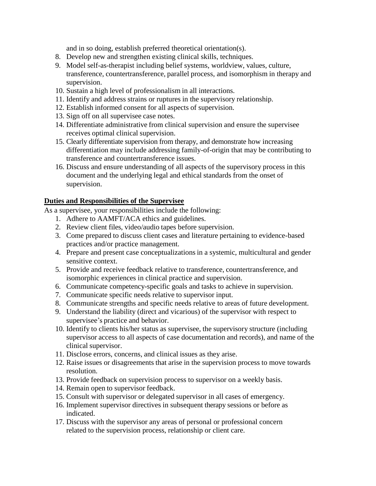and in so doing, establish preferred theoretical orientation(s).

- 8. Develop new and strengthen existing clinical skills, techniques.
- 9. Model self-as-therapist including belief systems, worldview, values, culture, transference, countertransference, parallel process, and isomorphism in therapy and supervision.
- 10. Sustain a high level of professionalism in all interactions.
- 11. Identify and address strains or ruptures in the supervisory relationship.
- 12. Establish informed consent for all aspects of supervision.
- 13. Sign off on all supervisee case notes.
- 14. Differentiate administrative from clinical supervision and ensure the supervisee receives optimal clinical supervision.
- 15. Clearly differentiate supervision from therapy, and demonstrate how increasing differentiation may include addressing family-of-origin that may be contributing to transference and countertransference issues.
- 16. Discuss and ensure understanding of all aspects of the supervisory process in this document and the underlying legal and ethical standards from the onset of supervision.

# **Duties and Responsibilities of the Supervisee**

As a supervisee, your responsibilities include the following:

- 1. Adhere to AAMFT/ACA ethics and guidelines.
- 2. Review client files, video/audio tapes before supervision.
- 3. Come prepared to discuss client cases and literature pertaining to evidence-based practices and/or practice management.
- 4. Prepare and present case conceptualizationsin a systemic, multicultural and gender sensitive context.
- 5. Provide and receive feedback relative to transference, countertransference, and isomorphic experiences in clinical practice and supervision.
- 6. Communicate competency-specific goals and tasks to achieve in supervision.
- 7. Communicate specific needs relative to supervisor input.
- 8. Communicate strengths and specific needs relative to areas of future development.
- 9. Understand the liability (direct and vicarious) of the supervisor with respect to supervisee's practice and behavior.
- 10. Identify to clients his/her status as supervisee, the supervisory structure (including supervisor access to all aspects of case documentation and records), and name of the clinical supervisor.
- 11. Disclose errors, concerns, and clinical issues as they arise.
- 12. Raise issues or disagreements that arise in the supervision process to move towards resolution.
- 13. Provide feedback on supervision process to supervisor on a weekly basis.
- 14. Remain open to supervisor feedback.
- 15. Consult with supervisor or delegated supervisor in all cases of emergency.
- 16. Implement supervisor directives in subsequent therapy sessions or before as indicated.
- 17. Discuss with the supervisor any areas of personal or professional concern related to the supervision process, relationship or client care.